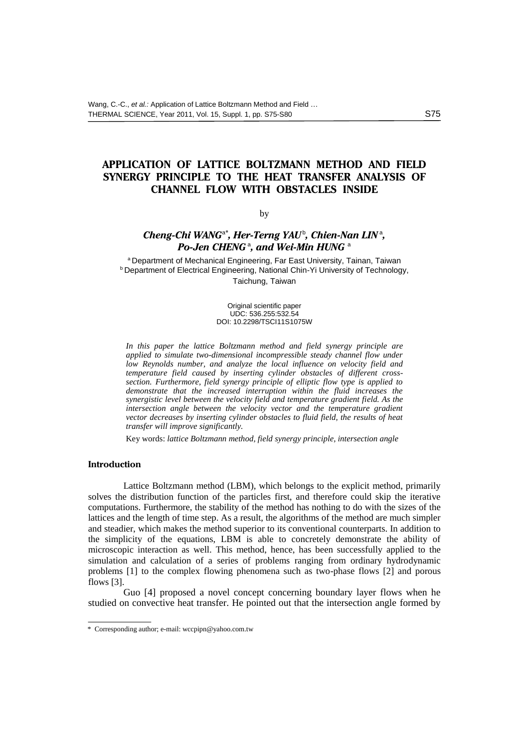# **APPLICATION OF LATTICE BOLTZMANN METHOD AND FIELD SYNERGY PRINCIPLE TO THE HEAT TRANSFER ANALYSIS OF CHANNEL FLOW WITH OBSTACLES INSIDE**

#### by

## *Cheng-Chi WANG*<sup>a</sup>*\* , Her-Terng YAU*<sup>b</sup> *, Chien-Nan LIN*<sup>a</sup> *, Po-Jen CHENG* $^{\text{a}}$ *, and Wei-Min HUNG* $^{\text{a}}$

a Department of Mechanical Engineering, Far East University, Tainan, Taiwan **b** Department of Electrical Engineering, National Chin-Yi University of Technology, Taichung, Taiwan

> Original scientific paper UDC: 536.255:532.54 DOI: 10.2298/TSCI11S1075W

*In this paper the lattice Boltzmann method and field synergy principle are applied to simulate two-dimensional incompressible steady channel flow under low Reynolds number, and analyze the local influence on velocity field and temperature field caused by inserting cylinder obstacles of different crosssection. Furthermore, field synergy principle of elliptic flow type is applied to demonstrate that the increased interruption within the fluid increases the synergistic level between the velocity field and temperature gradient field. As the intersection angle between the velocity vector and the temperature gradient vector decreases by inserting cylinder obstacles to fluid field, the results of heat transfer will improve significantly.*

Key words: *lattice Boltzmann method, field synergy principle, intersection angle*

## **Introduction**

Lattice Boltzmann method (LBM), which belongs to the explicit method, primarily solves the distribution function of the particles first, and therefore could skip the iterative computations. Furthermore, the stability of the method has nothing to do with the sizes of the lattices and the length of time step. As a result, the algorithms of the method are much simpler and steadier, which makes the method superior to its conventional counterparts. In addition to the simplicity of the equations, LBM is able to concretely demonstrate the ability of microscopic interaction as well. This method, hence, has been successfully applied to the simulation and calculation of a series of problems ranging from ordinary hydrodynamic problems [1] to the complex flowing phenomena such as two-phase flows [2] and porous flows [3].

Guo [4] proposed a novel concept concerning boundary layer flows when he studied on convective heat transfer. He pointed out that the intersection angle formed by

<sup>\*</sup> Corresponding author; e-mail: wccpipn@yahoo.com.tw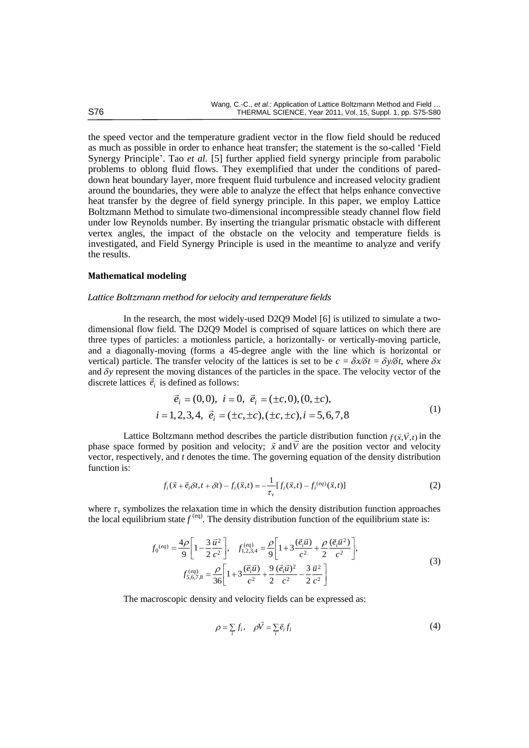the speed vector and the temperature gradient vector in the flow field should be reduced as much as possible in order to enhance heat transfer; the statement is the so-called 'Field Synergy Principle'. Tao *et al.* [5] further applied field synergy principle from parabolic problems to oblong fluid flows. They exemplified that under the conditions of pareddown heat boundary layer, more frequent fluid turbulence and increased velocity gradient around the boundaries, they were able to analyze the effect that helps enhance convective heat transfer by the degree of field synergy principle. In this paper, we employ Lattice Boltzmann Method to simulate two-dimensional incompressible steady channel flow field under low Reynolds number. By inserting the triangular prismatic obstacle with different vertex angles, the impact of the obstacle on the velocity and temperature fields is investigated, and Field Synergy Principle is used in the meantime to analyze and verify the results.

## **Mathematical modeling**

## *Lattice Boltzmann method for velocity and temperature fields*

In the research, the most widely-used D2Q9 Model [6] is utilized to simulate a twodimensional flow field. The D2Q9 Model is comprised of square lattices on which there are three types of particles: a motionless particle, a horizontally- or vertically-moving particle, and a diagonally-moving (forms a 45-degree angle with the line which is horizontal or vertical) particle. The transfer velocity of the lattices is set to be  $c = \delta x/\delta t = \delta y/\delta t$ , where  $\delta x$ and  $\delta y$  represent the moving distances of the particles in the space. The velocity vector of the discrete lattices  $\vec{e}_i$  is defined as follows:<br>  $\vec{e}_i = (0,0), i = 0, \vec{e}_i = (\pm c,0), (0, \pm c)$ 

is defined as follows:  
\n
$$
\vec{e}_i = (0,0), \quad i = 0, \quad \vec{e}_i = (\pm c, 0), (0, \pm c),
$$
\n
$$
i = 1, 2, 3, 4, \quad \vec{e}_i = (\pm c, \pm c), (\pm c, \pm c), i = 5, 6, 7, 8
$$
\n(1)

Lattice Boltzmann method describes the particle distribution function  $f(\vec{x}, \vec{V}, t)$  in the phase space formed by position and velocity;  $\vec{x}$  and  $\vec{V}$  are the position vector and velocity vector, respectively, and *t* denotes the time. The governing equation of the density distribution function is:

$$
f_i(\vec{x} + \vec{e}_i \delta t, t + \delta t) - f_i(\vec{x}, t) = -\frac{1}{\tau_v} [f_i(\vec{x}, t) - f_i^{(eq)}(\vec{x}, t)]
$$
\n(2)

where  $\tau_\nu$  symbolizes the relaxation time in which the density distribution function approaches

the local equilibrium state 
$$
f^{(eq)}
$$
. The density distribution function of the equilibrium state is:  
\n
$$
f_0^{(eq)} = \frac{4\rho}{9} \left[ 1 - \frac{3}{2} \frac{\vec{u}^2}{c^2} \right], \quad f_{1,2,3,4}^{(eq)} = \frac{\rho}{9} \left[ 1 + 3 \frac{(\vec{e}_i \vec{u})}{c^2} + \frac{\rho}{2} \frac{(\vec{e}_i \vec{u}^2)}{c^2} \right],
$$
\n(3)  
\n
$$
f_{5,6,7,8}^{(eq)} = \frac{\rho}{36} \left[ 1 + 3 \frac{(\vec{e}_i \vec{u})}{c^2} + \frac{9}{2} \frac{(\vec{e}_i \vec{u})^2}{c^2} - \frac{3}{2} \frac{\vec{u}^2}{c^2} \right]
$$

The macroscopic density and velocity fields can be expressed as:

$$
\rho = \sum_{i} f_i, \quad \rho \vec{V} = \sum_{i} \vec{e}_i f_i \tag{4}
$$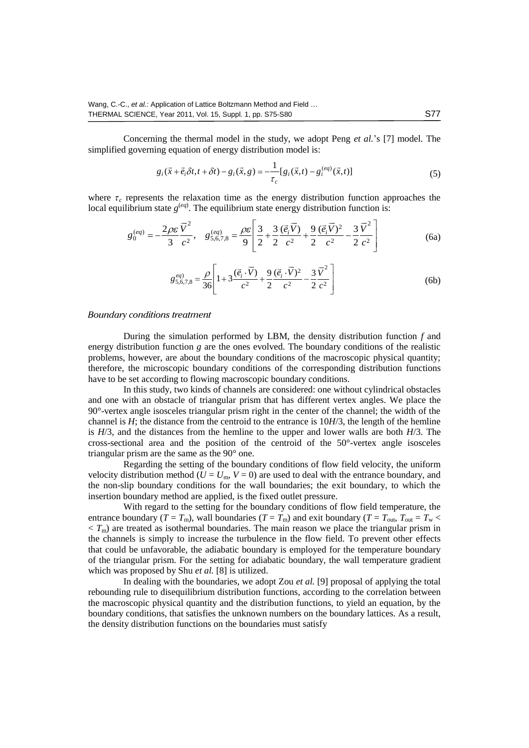Concerning the thermal model in the study, we adopt Peng *et al.*'s [7] model. The simplified governing equation of energy distribution model is:<br> $g_:(\vec{x} + \vec{e}.\delta t, t + \delta t) - g_:(\vec{x}, g) = -\frac{1}{g} [g_*(\vec{x}, t) - g^{(eq)}_*(\vec{x}, t)]$ 

$$
g_i(\vec{x} + \vec{e}_i \delta t, t + \delta t) - g_i(\vec{x}, g) = -\frac{1}{\tau_c} [g_i(\vec{x}, t) - g_i^{(eq)}(\vec{x}, t)]
$$
(5)

where  $\tau_c$  represents the relaxation time as the energy distribution function approaches the relaxation time as the energy distribution function approach the equilibrium state energy distribution function is:<br>  $\vec{V}^2$  (eq)  $\rho \varepsilon \begin{bmatrix} 3 & 3 & (\vec{e}, \vec{V}) & 9 & (\vec{e}, \vec{V})^2 & 3 & \vec{V}^2 \end{bmatrix}$ 

local equilibrium state 
$$
g^{(eq)}
$$
. The equilibrium state energy distribution function is:  
\n
$$
g_0^{(eq)} = -\frac{2\rho \varepsilon \overrightarrow{V}^2}{3c^2}, \quad g_{5,6,7,8}^{(eq)} = \frac{\rho \varepsilon}{9} \left[ \frac{3}{2} + \frac{3}{2} \frac{(\overrightarrow{e_i} \overrightarrow{V})}{c^2} + \frac{9}{2} \frac{(\overrightarrow{e_i} \overrightarrow{V})^2}{c^2} - \frac{3}{2} \frac{\overrightarrow{V}^2}{c^2} \right]
$$
\n(6a)

$$
g_{5,6,7,8}^{eq} = \frac{\rho}{36} \left[ 1 + 3 \frac{(\vec{e}_i \cdot \vec{V})}{c^2} + \frac{9}{2} \frac{(\vec{e}_i \cdot \vec{V})^2}{c^2} - \frac{3}{2} \frac{\vec{V}^2}{c^2} \right]
$$
(6b)

#### *Boundary conditions treatment*

During the simulation performed by LBM, the density distribution function *f* and energy distribution function *g* are the ones evolved. The boundary conditions of the realistic problems, however, are about the boundary conditions of the macroscopic physical quantity; therefore, the microscopic boundary conditions of the corresponding distribution functions have to be set according to flowing macroscopic boundary conditions.

In this study, two kinds of channels are considered: one without cylindrical obstacles and one with an obstacle of triangular prism that has different vertex angles. We place the 90°-vertex angle isosceles triangular prism right in the center of the channel; the width of the channel is *H*; the distance from the centroid to the entrance is 10*H*/3, the length of the hemline is *H*/3, and the distances from the hemline to the upper and lower walls are both *H*/3. The cross-sectional area and the position of the centroid of the 50°-vertex angle isosceles triangular prism are the same as the 90° one.

Regarding the setting of the boundary conditions of flow field velocity, the uniform velocity distribution method ( $U = U_m$ ,  $V = 0$ ) are used to deal with the entrance boundary, and the non-slip boundary conditions for the wall boundaries; the exit boundary, to which the insertion boundary method are applied, is the fixed outlet pressure.

With regard to the setting for the boundary conditions of flow field temperature, the entrance boundary (*T* = *T*<sub>m</sub>), wall boundaries (*T* = *T*<sub>m</sub>) and exit boundary (*T* = *T*<sub>out</sub>, *T*<sub>out</sub> = *T*<sub>w</sub> <  $\langle T_{\rm m} \rangle$  are treated as isothermal boundaries. The main reason we place the triangular prism in the channels is simply to increase the turbulence in the flow field. To prevent other effects that could be unfavorable, the adiabatic boundary is employed for the temperature boundary of the triangular prism. For the setting for adiabatic boundary, the wall temperature gradient which was proposed by Shu *et al.* [8] is utilized.

In dealing with the boundaries, we adopt Zou *et al.* [9] proposal of applying the total rebounding rule to disequilibrium distribution functions, according to the correlation between the macroscopic physical quantity and the distribution functions, to yield an equation, by the boundary conditions, that satisfies the unknown numbers on the boundary lattices. As a result, the density distribution functions on the boundaries must satisfy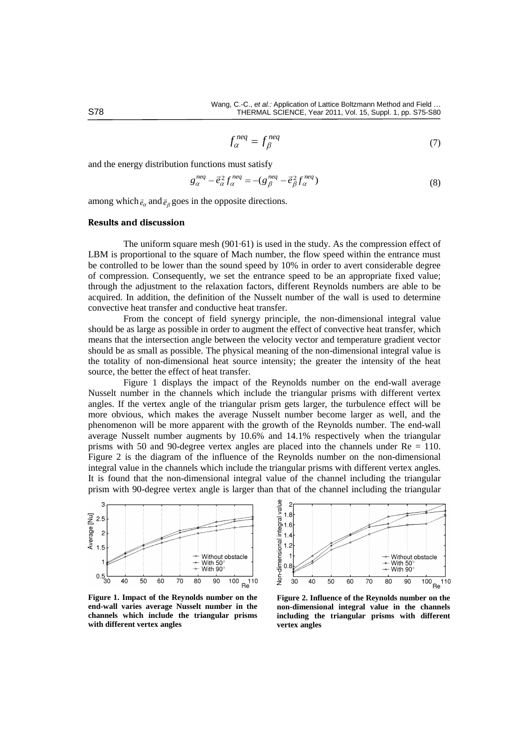$$
f_{\alpha}^{neq} = f_{\beta}^{neq} \tag{7}
$$

and the energy distribution functions must satisfy  
\n
$$
g_{\alpha}^{neq} - \vec{e}_{\alpha}^2 f_{\alpha}^{neq} = -(g_{\beta}^{neq} - \vec{e}_{\beta}^2 f_{\alpha}^{neq})
$$
\n(8)

among which  $\vec{e}_\alpha$  and  $\vec{e}_\beta$  goes in the opposite directions.

## **Results and discussion**

The uniform square mesh (901·61) is used in the study. As the compression effect of LBM is proportional to the square of Mach number, the flow speed within the entrance must be controlled to be lower than the sound speed by 10% in order to avert considerable degree of compression. Consequently, we set the entrance speed to be an appropriate fixed value; through the adjustment to the relaxation factors, different Reynolds numbers are able to be acquired. In addition, the definition of the Nusselt number of the wall is used to determine convective heat transfer and conductive heat transfer.

From the concept of field synergy principle, the non-dimensional integral value should be as large as possible in order to augment the effect of convective heat transfer, which means that the intersection angle between the velocity vector and temperature gradient vector should be as small as possible. The physical meaning of the non-dimensional integral value is the totality of non-dimensional heat source intensity; the greater the intensity of the heat source, the better the effect of heat transfer.

Figure 1 displays the impact of the Reynolds number on the end-wall average Nusselt number in the channels which include the triangular prisms with different vertex angles. If the vertex angle of the triangular prism gets larger, the turbulence effect will be more obvious, which makes the average Nusselt number become larger as well, and the phenomenon will be more apparent with the growth of the Reynolds number. The end-wall average Nusselt number augments by 10.6% and 14.1% respectively when the triangular prisms with 50 and 90-degree vertex angles are placed into the channels under Re = 110. Figure 2 is the diagram of the influence of the Reynolds number on the non-dimensional integral value in the channels which include the triangular prisms with different vertex angles. It is found that the non-dimensional integral value of the channel including the triangular prism with 90-degree vertex angle is larger than that of the channel including the triangular



**Figure 1. Impact of the Reynolds number on the end-wall varies average Nusselt number in the channels which include the triangular prisms with different vertex angles**



**Figure 2. Influence of the Reynolds number on the non-dimensional integral value in the channels including the triangular prisms with different vertex angles**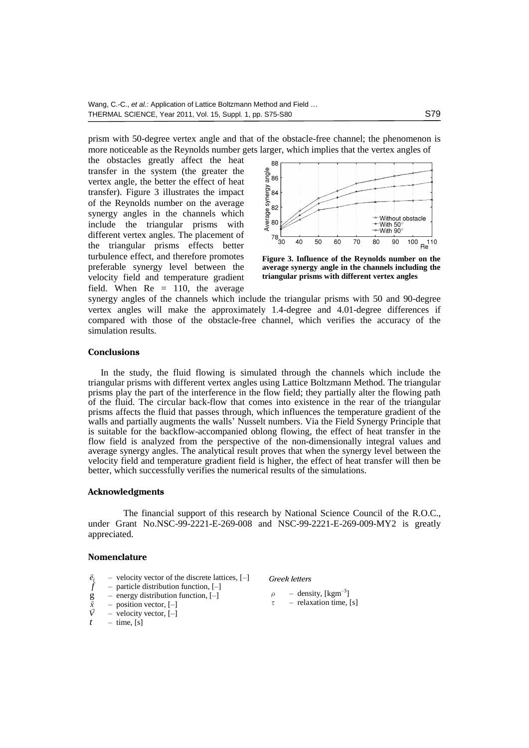prism with 50-degree vertex angle and that of the obstacle-free channel; the phenomenon is more noticeable as the Reynolds number gets larger, which implies that the vertex angles of

the obstacles greatly affect the heat transfer in the system (the greater the vertex angle, the better the effect of heat transfer). Figure 3 illustrates the impact of the Reynolds number on the average synergy angles in the channels which include the triangular prisms with different vertex angles. The placement of the triangular prisms effects better turbulence effect, and therefore promotes preferable synergy level between the velocity field and temperature gradient field. When  $Re = 110$ , the average



**Figure 3. Influence of the Reynolds number on the average synergy angle in the channels including the triangular prisms with different vertex angles**

synergy angles of the channels which include the triangular prisms with 50 and 90-degree vertex angles will make the approximately 1.4-degree and 4.01-degree differences if compared with those of the obstacle-free channel, which verifies the accuracy of the simulation results.

## **Conclusions**

In the study, the fluid flowing is simulated through the channels which include the triangular prisms with different vertex angles using Lattice Boltzmann Method. The triangular prisms play the part of the interference in the flow field; they partially alter the flowing path of the fluid. The circular back-flow that comes into existence in the rear of the triangular prisms affects the fluid that passes through, which influences the temperature gradient of the walls and partially augments the walls' Nusselt numbers. Via the Field Synergy Principle that is suitable for the backflow-accompanied oblong flowing, the effect of heat transfer in the flow field is analyzed from the perspective of the non-dimensionally integral values and average synergy angles. The analytical result proves that when the synergy level between the velocity field and temperature gradient field is higher, the effect of heat transfer will then be better, which successfully verifies the numerical results of the simulations.

## **Acknowledgments**

The financial support of this research by National Science Council of the R.O.C., under Grant No.NSC-99-2221-E-269-008 and NSC-99-2221-E-269-009-MY2 is greatly appreciated.

#### **Nomenclature**

- *i e* – velocity vector of the discrete lattices, [–]
- $\hat{f}$  particle distribution function, [–]
- $-$  energy distribution function,  $[-]$  $\overline{g}$
- *x* – position vector, [–]
- *V* – velocity vector, [–]
- $t$  time, [s]

*Greek letters*

- $\rho$  density, [kgm<sup>-3</sup>]  $\tau$  – relaxation time, [s]
-